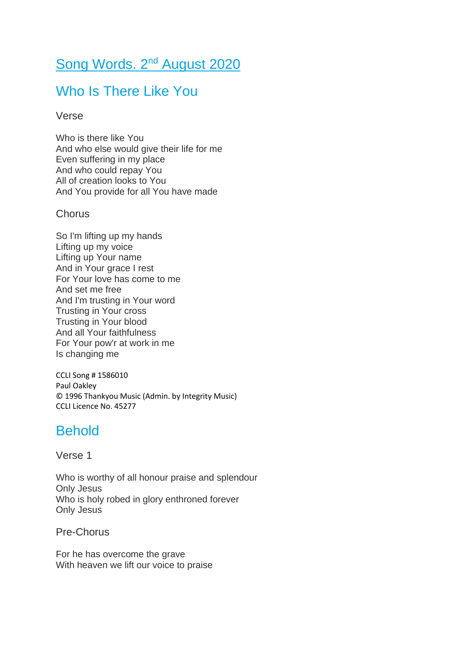# Song Words. 2<sup>nd</sup> August 2020

## Who Is There Like You

#### Verse

Who is there like You And who else would give their life for me Even suffering in my place And who could repay You All of creation looks to You And You provide for all You have made

### **Chorus**

So I'm lifting up my hands Lifting up my voice Lifting up Your name And in Your grace I rest For Your love has come to me And set me free And I'm trusting in Your word Trusting in Your cross Trusting in Your blood And all Your faithfulness For Your pow'r at work in me Is changing me

CCLI Song # 1586010 Paul Oakley © 1996 Thankyou Music (Admin. by Integrity Music) CCLI Licence No. 45277

### **Behold**

Verse 1

Who is worthy of all honour praise and splendour Only Jesus Who is holy robed in glory enthroned forever Only Jesus

Pre-Chorus

For he has overcome the grave With heaven we lift our voice to praise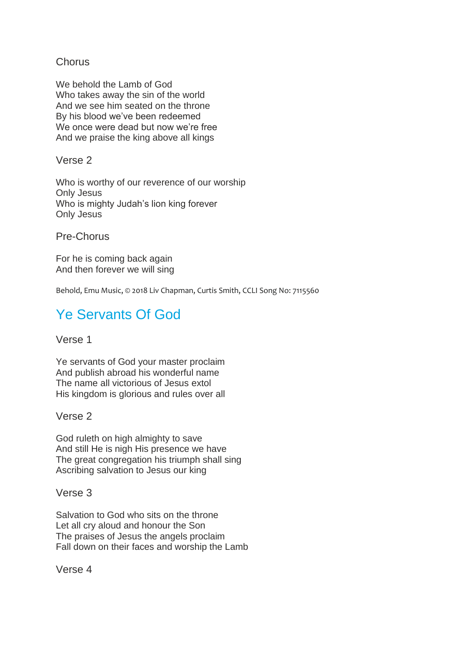### **Chorus**

We behold the Lamb of God Who takes away the sin of the world And we see him seated on the throne By his blood we've been redeemed We once were dead but now we're free And we praise the king above all kings

Verse 2

Who is worthy of our reverence of our worship Only Jesus Who is mighty Judah's lion king forever Only Jesus

Pre-Chorus

For he is coming back again And then forever we will sing

Behold, Emu Music, © 2018 Liv Chapman, Curtis Smith, CCLI Song No: 7115560

# Ye Servants Of God

Verse 1

Ye servants of God your master proclaim And publish abroad his wonderful name The name all victorious of Jesus extol His kingdom is glorious and rules over all

Verse 2

God ruleth on high almighty to save And still He is nigh His presence we have The great congregation his triumph shall sing Ascribing salvation to Jesus our king

Verse 3

Salvation to God who sits on the throne Let all cry aloud and honour the Son The praises of Jesus the angels proclaim Fall down on their faces and worship the Lamb

Verse 4